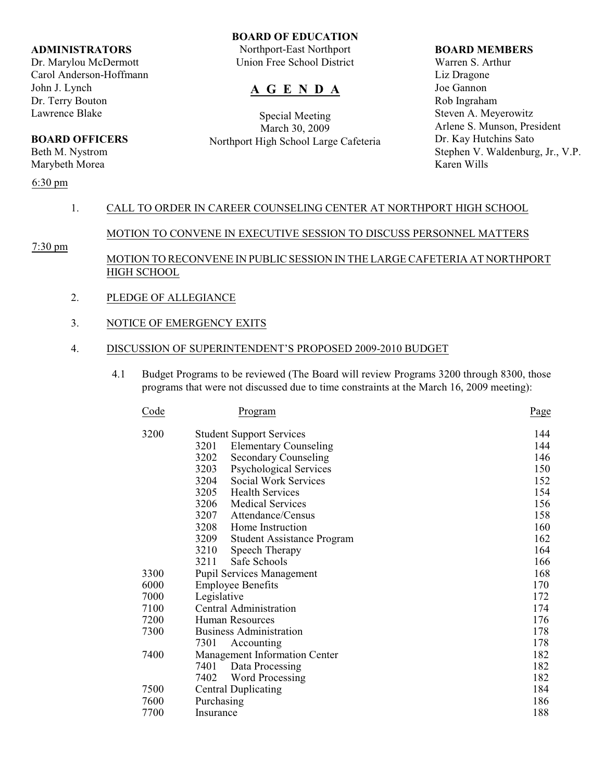#### **ADMINISTRATORS**

Dr. Marylou McDermott Carol Anderson-Hoffmann John J. Lynch Dr. Terry Bouton Lawrence Blake

## **BOARD OFFICERS**

Beth M. Nystrom Marybeth Morea

## 6:30 pm

## **BOARD OF EDUCATION**

Northport-East Northport Union Free School District

# **A G E N D A**

Special Meeting March 30, 2009 Northport High School Large Cafeteria

#### **BOARD MEMBERS**

Warren S. Arthur Liz Dragone Joe Gannon Rob Ingraham Steven A. Meyerowitz Arlene S. Munson, President Dr. Kay Hutchins Sato Stephen V. Waldenburg, Jr., V.P. Karen Wills

## 1. CALL TO ORDER IN CAREER COUNSELING CENTER AT NORTHPORT HIGH SCHOOL

## MOTION TO CONVENE IN EXECUTIVE SESSION TO DISCUSS PERSONNEL MATTERS

7:30 pm

## MOTION TO RECONVENE IN PUBLIC SESSION IN THE LARGE CAFETERIA AT NORTHPORT HIGH SCHOOL

- 2. PLEDGE OF ALLEGIANCE
- 3. NOTICE OF EMERGENCY EXITS

## 4. DISCUSSION OF SUPERINTENDENT'S PROPOSED 2009-2010 BUDGET

 4.1 Budget Programs to be reviewed (The Board will review Programs 3200 through 8300, those programs that were not discussed due to time constraints at the March 16, 2009 meeting):

| Code | Program                                   | Page |
|------|-------------------------------------------|------|
| 3200 | <b>Student Support Services</b>           | 144  |
|      | 3201<br><b>Elementary Counseling</b>      | 144  |
|      | 3202<br><b>Secondary Counseling</b>       | 146  |
|      | 3203<br><b>Psychological Services</b>     | 150  |
|      | 3204<br>Social Work Services              | 152  |
|      | 3205<br><b>Health Services</b>            | 154  |
|      | 3206<br><b>Medical Services</b>           | 156  |
|      | 3207<br>Attendance/Census                 | 158  |
|      | 3208<br>Home Instruction                  | 160  |
|      | 3209<br><b>Student Assistance Program</b> | 162  |
|      | 3210<br>Speech Therapy                    | 164  |
|      | Safe Schools<br>3211                      | 166  |
| 3300 | <b>Pupil Services Management</b>          | 168  |
| 6000 | <b>Employee Benefits</b>                  | 170  |
| 7000 | Legislative                               | 172  |
| 7100 | Central Administration                    | 174  |
| 7200 | Human Resources                           | 176  |
| 7300 | <b>Business Administration</b>            | 178  |
|      | 7301<br>Accounting                        | 178  |
| 7400 | Management Information Center             | 182  |
|      | 7401<br>Data Processing                   | 182  |
|      | 7402<br>Word Processing                   | 182  |
| 7500 | <b>Central Duplicating</b>                | 184  |
| 7600 | Purchasing                                | 186  |
| 7700 | Insurance                                 | 188  |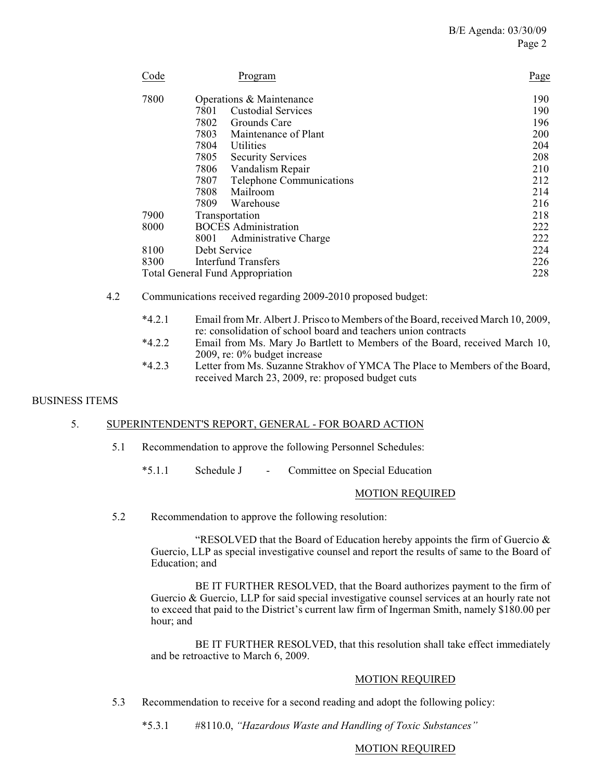| Code                                    | Program                           | Page |
|-----------------------------------------|-----------------------------------|------|
| 7800                                    | Operations & Maintenance          | 190  |
|                                         | 7801<br><b>Custodial Services</b> | 190  |
|                                         | 7802<br>Grounds Care              | 196  |
|                                         | 7803<br>Maintenance of Plant      | 200  |
|                                         | 7804<br>Utilities                 | 204  |
|                                         | 7805<br><b>Security Services</b>  | 208  |
|                                         | 7806<br>Vandalism Repair          | 210  |
|                                         | Telephone Communications<br>7807  | 212  |
|                                         | 7808<br>Mailroom                  | 214  |
|                                         | 7809<br>Warehouse                 | 216  |
| 7900                                    | Transportation                    | 218  |
| 8000                                    | <b>BOCES</b> Administration       | 222  |
|                                         | 8001<br>Administrative Charge     | 222  |
| 8100                                    | Debt Service                      | 224  |
| 8300                                    | Interfund Transfers               | 226  |
| <b>Total General Fund Appropriation</b> |                                   | 228  |

- 4.2 Communications received regarding 2009-2010 proposed budget:
	- \*4.2.1 Email from Mr. Albert J. Prisco to Members of the Board, received March 10, 2009, re: consolidation of school board and teachers union contracts
	- \*4.2.2 Email from Ms. Mary Jo Bartlett to Members of the Board, received March 10, 2009, re: 0% budget increase
	- \*4.2.3 Letter from Ms. Suzanne Strakhov of YMCA The Place to Members of the Board, received March 23, 2009, re: proposed budget cuts

## BUSINESS ITEMS

## 5. SUPERINTENDENT'S REPORT, GENERAL - FOR BOARD ACTION

- 5.1 Recommendation to approve the following Personnel Schedules:
	- \*5.1.1 Schedule J Committee on Special Education

#### MOTION REQUIRED

5.2 Recommendation to approve the following resolution:

"RESOLVED that the Board of Education hereby appoints the firm of Guercio  $\&$ Guercio, LLP as special investigative counsel and report the results of same to the Board of Education; and

BE IT FURTHER RESOLVED, that the Board authorizes payment to the firm of Guercio & Guercio, LLP for said special investigative counsel services at an hourly rate not to exceed that paid to the District's current law firm of Ingerman Smith, namely \$180.00 per hour; and

BE IT FURTHER RESOLVED, that this resolution shall take effect immediately and be retroactive to March 6, 2009.

## MOTION REQUIRED

5.3 Recommendation to receive for a second reading and adopt the following policy:

\*5.3.1 #8110.0, *"Hazardous Waste and Handling of Toxic Substances"*

## MOTION REQUIRED